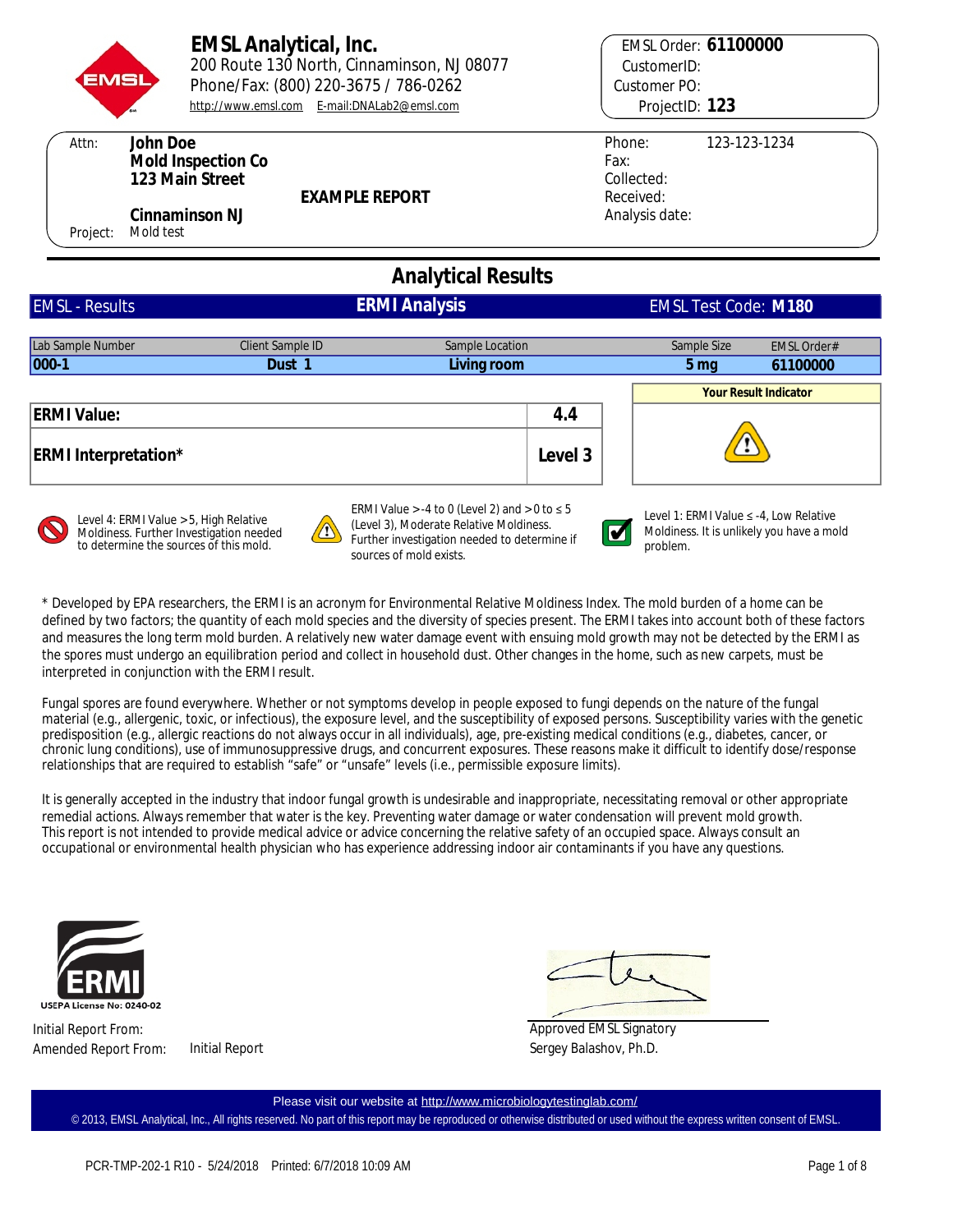

Attn:

Phone/Fax: (800) 220-3675 / 786-0262 **EMSL Analytical, Inc.** 200 Route 130 North, Cinnaminson, NJ 08077 <http://www.emsl.com> **[E-mail:DNALab2@emsl.com](mailto:E-mail:DNALab2@emsl.com)** 

**EXAMPLE REPORT**

**EMSL Order: 61100000** CustomerID: Customer PO: ProjectID: 123

| Phone:         | 123-123-1234 |
|----------------|--------------|
| Fax:           |              |
| Collected:     |              |
| Received:      |              |
| Analysis date: |              |
|                |              |

Project: Mold test **Cinnaminson NJ**

**123 Main Street Mold Inspection Co**

**John Doe**

# **Analytical Results**

| <b>EMSL - Results</b>       | <b>ERMI Analysis</b> |                 |         |                   | <b>EMSL Test Code: M180</b>  |  |
|-----------------------------|----------------------|-----------------|---------|-------------------|------------------------------|--|
|                             |                      |                 |         |                   |                              |  |
| Lab Sample Number           | Client Sample ID     | Sample Location |         | Sample Size       | <b>EMSL Order#</b>           |  |
| $ 000-1 $                   | Dust 1               | Living room     |         | $5 \,\mathrm{mg}$ | 61100000                     |  |
|                             |                      |                 |         |                   | <b>Your Result Indicator</b> |  |
| <b>ERMI Value:</b>          |                      |                 | 4.4     |                   |                              |  |
| <b>ERMI</b> Interpretation* |                      |                 | Level 3 |                   |                              |  |
|                             |                      |                 |         |                   |                              |  |



Level 4: ERMI Value > 5, High Relative Moldiness. Further Investigation needed to determine the sources of this mold.

ERMI Value > -4 to 0 (Level 2) and > 0 to  $\leq 5$ (Level 3), Moderate Relative Moldiness. Further investigation needed to determine if sources of mold exists.



Level 1: ERMI Value ≤ -4, Low Relative Moldiness. It is unlikely you have a mold problem.

\* Developed by EPA researchers, the ERMI is an acronym for Environmental Relative Moldiness Index. The mold burden of a home can be defined by two factors; the quantity of each mold species and the diversity of species present. The ERMI takes into account both of these factors and measures the long term mold burden. A relatively new water damage event with ensuing mold growth may not be detected by the ERMI as the spores must undergo an equilibration period and collect in household dust. Other changes in the home, such as new carpets, must be interpreted in conjunction with the ERMI result.

Fungal spores are found everywhere. Whether or not symptoms develop in people exposed to fungi depends on the nature of the fungal material (e.g., allergenic, toxic, or infectious), the exposure level, and the susceptibility of exposed persons. Susceptibility varies with the genetic predisposition (e.g., allergic reactions do not always occur in all individuals), age, pre-existing medical conditions (e.g., diabetes, cancer, or chronic lung conditions), use of immunosuppressive drugs, and concurrent exposures. These reasons make it difficult to identify dose/response relationships that are required to establish "safe" or "unsafe" levels (i.e., permissible exposure limits).

It is generally accepted in the industry that indoor fungal growth is undesirable and inappropriate, necessitating removal or other appropriate remedial actions. Always remember that water is the key. Preventing water damage or water condensation will prevent mold growth. This report is not intended to provide medical advice or advice concerning the relative safety of an occupied space. Always consult an occupational or environmental health physician who has experience addressing indoor air contaminants if you have any questions.



Initial Report From: Amended Report From: Initial Report

Sergey Balashov, Ph.D. Approved EMSL Signatory

© 2013, EMSL Analytical, Inc., All rights reserved. No part of this report may be reproduced or otherwise distributed or used without the express written consent of EMSL. Please visit our website at <http://www.microbiologytestinglab.com/>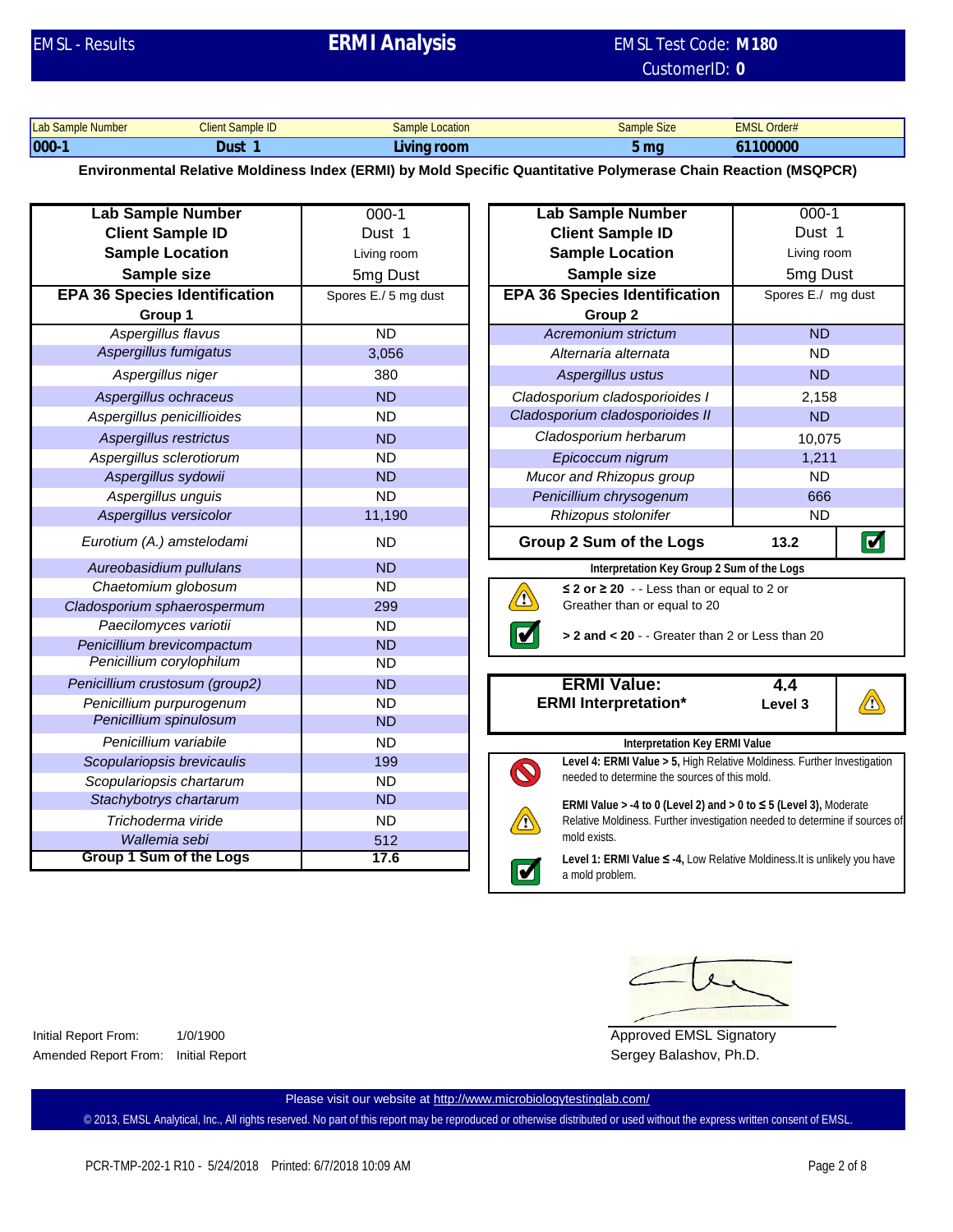# EMSL - Results EMSL Test Code: **ERMI Analysis**

# CustomerID: **0 EMSL Test Code: M180**

| Lab Sample Number | Client Sample ID | Location<br>Sample | Sample Size  | <b>EMSL</b><br>Order# |
|-------------------|------------------|--------------------|--------------|-----------------------|
| 000               | Dust             | Living room        | mo<br>טווו ט | 61100000              |

**Environmental Relative Moldiness Index (ERMI) by Mold Specific Quantitative Polymerase Chain Reaction (MSQPCR)**

| <b>Lab Sample Number</b>             | $000-1$              | <b>Lab Sample Number</b>                                                |
|--------------------------------------|----------------------|-------------------------------------------------------------------------|
| <b>Client Sample ID</b>              | Dust 1               | <b>Client Sample ID</b>                                                 |
| <b>Sample Location</b>               | Living room          | <b>Sample Location</b>                                                  |
| Sample size                          | 5 <sub>mg</sub> Dust | Sample size                                                             |
| <b>EPA 36 Species Identification</b> | Spores E./ 5 mg dust | <b>EPA 36 Species Identifica</b>                                        |
| Group 1                              |                      | Group <sub>2</sub>                                                      |
| Aspergillus flavus                   | <b>ND</b>            | Acremonium strictum                                                     |
| Aspergillus fumigatus                | 3,056                | Alternaria alternata                                                    |
| Aspergillus niger                    | 380                  | Aspergillus ustus                                                       |
| Aspergillus ochraceus                | <b>ND</b>            | Cladosporium cladosporioid                                              |
| Aspergillus penicillioides           | <b>ND</b>            | Cladosporium cladosporioide                                             |
| Aspergillus restrictus               | <b>ND</b>            | Cladosporium herbarum                                                   |
| Aspergillus sclerotiorum             | <b>ND</b>            | Epicoccum nigrum                                                        |
| Aspergillus sydowii                  | <b>ND</b>            | Mucor and Rhizopus grou                                                 |
| Aspergillus unguis                   | <b>ND</b>            | Penicillium chrysogenum                                                 |
| Aspergillus versicolor               | 11,190               | Rhizopus stolonifer                                                     |
| Eurotium (A.) amstelodami            | <b>ND</b>            | Group 2 Sum of the Log                                                  |
| Aureobasidium pullulans              | <b>ND</b>            | Interpretation Key G                                                    |
| Chaetomium globosum                  | <b>ND</b>            | ≤ 2 or ≥ 20 - - Less that                                               |
| Cladosporium sphaerospermum          | 299                  | $\Omega$<br>Greather than or equal                                      |
| Paecilomyces variotii                | <b>ND</b>            | $> 2$ and $< 20 -$ Greate                                               |
| Penicillium brevicompactum           | <b>ND</b>            |                                                                         |
| Penicillium corylophilum             | <b>ND</b>            |                                                                         |
| Penicillium crustosum (group2)       | <b>ND</b>            | <b>ERMI Value:</b>                                                      |
| Penicillium purpurogenum             | <b>ND</b>            | <b>ERMI</b> Interpretation*                                             |
| Penicillium spinulosum               | <b>ND</b>            |                                                                         |
| Penicillium variabile                | <b>ND</b>            | Interpretation                                                          |
| Scopulariopsis brevicaulis           | 199                  | Level 4: ERMI Value > 5, H<br>needed to determine the so                |
| Scopulariopsis chartarum             | <b>ND</b>            |                                                                         |
| Stachybotrys chartarum               | <b>ND</b>            | ERMI Value $> -4$ to 0 (Leve                                            |
| Trichoderma viride                   | <b>ND</b>            | Relative Moldiness. Further                                             |
| Wallemia sebi                        | 512                  | mold exists.                                                            |
| Group 1 Sum of the Logs              | 17.6                 | Level 1: ERMI Value ≤ -4,<br>$\overline{\mathbf{v}}$<br>a mold problem. |

| $00-1$        | <b>Lab Sample Number</b>                        | $000 - 1$          |                |  |
|---------------|-------------------------------------------------|--------------------|----------------|--|
| ust 1         | <b>Client Sample ID</b>                         | Dust 1             |                |  |
| ng room       | <b>Sample Location</b>                          | Living room        |                |  |
| g Dust        | Sample size                                     | 5mg Dust           |                |  |
| $1/5$ mg dust | <b>EPA 36 Species Identification</b>            | Spores E./ mg dust |                |  |
|               | Group <sub>2</sub>                              |                    |                |  |
| ND.           | Acremonium strictum                             | <b>ND</b>          |                |  |
| ,056          | Alternaria alternata                            | <b>ND</b>          |                |  |
| 380           | Aspergillus ustus                               | <b>ND</b>          |                |  |
| <b>ND</b>     | Cladosporium cladosporioides I                  | 2,158              |                |  |
| ND.           | Cladosporium cladosporioides II                 | <b>ND</b>          |                |  |
| <b>ND</b>     | Cladosporium herbarum                           | 10,075             |                |  |
| <b>ND</b>     | Epicoccum nigrum                                | 1,211              |                |  |
| <b>ND</b>     | Mucor and Rhizopus group                        | <b>ND</b>          |                |  |
| ND.           | Penicillium chrysogenum                         | 666                |                |  |
| 1,190         | Rhizopus stolonifer                             | <b>ND</b>          |                |  |
| ND.           | <b>Group 2 Sum of the Logs</b>                  | 13.2               | $\blacksquare$ |  |
| <b>ND</b>     | Interpretation Key Group 2 Sum of the Logs      |                    |                |  |
| <b>ND</b>     | ≤ 2 or $\geq$ 20 - - Less than or equal to 2 or |                    |                |  |
| 299           | $\mathbf{V}$<br>Greather than or equal to 20    |                    |                |  |
| ND.           | > 2 and < 20 - - Greater than 2 or Less than 20 |                    |                |  |
| <b>ND</b>     |                                                 |                    |                |  |
| ND.           |                                                 |                    |                |  |
| <b>ND</b>     | <b>ERMI Value:</b>                              | 4.4                |                |  |
| ND.           | <b>ERMI Interpretation*</b>                     | Level 3            |                |  |
| <b>ND</b>     |                                                 |                    |                |  |
|               |                                                 |                    |                |  |

**Interpretation Key ERMI Value Level 4: ERMI Value > 5,** High Relative Moldiness. Further Investigation  $\bm{\mathcal{O}}$ needed to determine the sources of this mold. **ERMI Value > -4 to 0 (Level 2) and > 0 to ≤ 5 (Level 3),** Moderate Relative Moldiness. Further investigation needed to determine if sources of mold exists.

> **Level 1: ERMI Value ≤ -4,** Low Relative Moldiness.It is unlikely you have a mold problem.

Initial Report From: 1/0/1900 Amended Report From: Initial Report

Approved EMSL Signatory Sergey Balashov, Ph.D.

Please visit our website at <http://www.microbiologytestinglab.com/>

 $\blacksquare$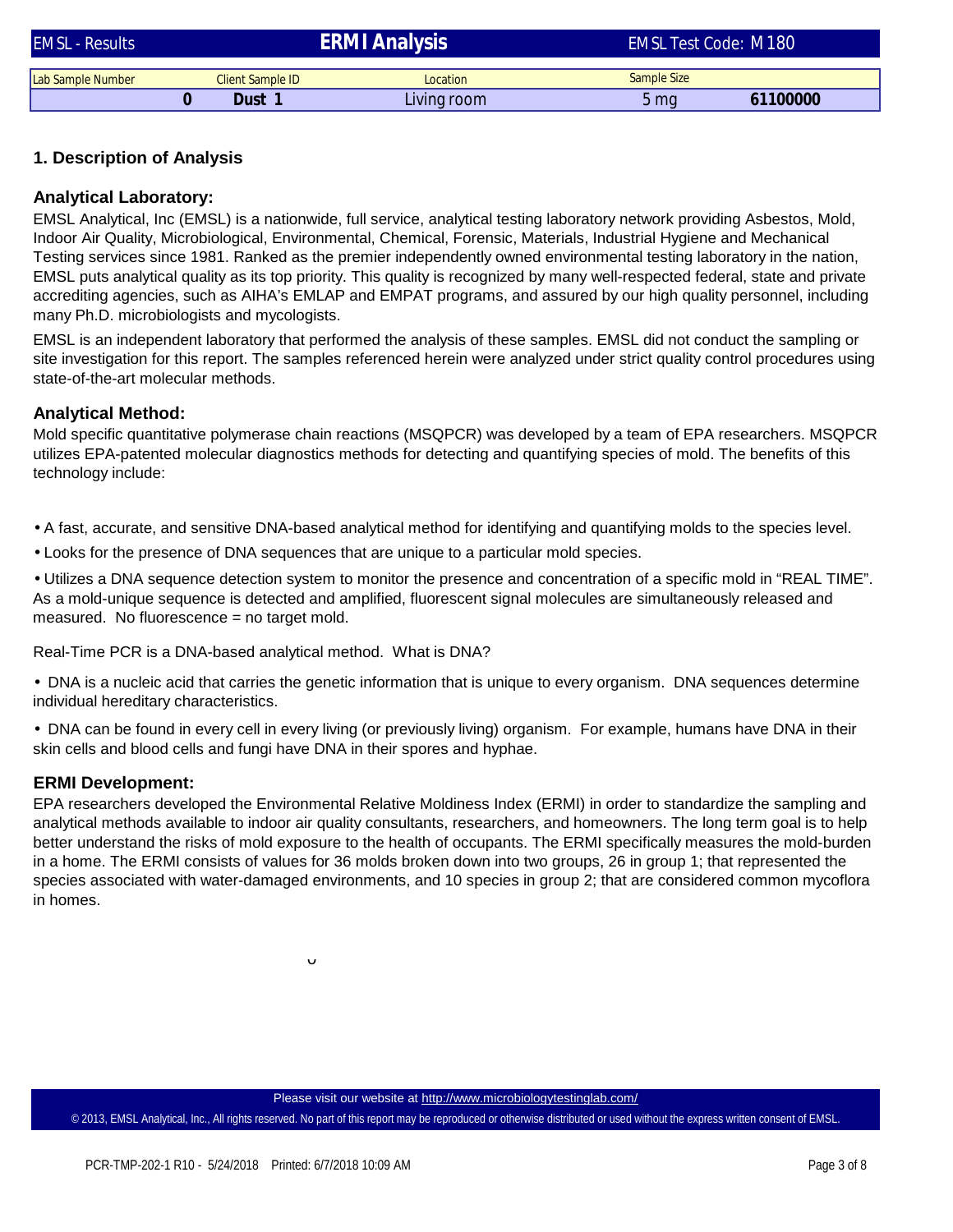| <b>EMSL - Results</b> |                         | <b>ERMI Analysis</b> | <b>EMSL Test Code: M180</b> |          |  |
|-----------------------|-------------------------|----------------------|-----------------------------|----------|--|
| Lab Sample Number     | <b>Client Sample ID</b> | Location             | Sample Size                 |          |  |
|                       | Dust 1                  | Living room          | 5 mg                        | 61100000 |  |

### **1. Description of Analysis**

### **Analytical Laboratory:**

EMSL Analytical, Inc (EMSL) is a nationwide, full service, analytical testing laboratory network providing Asbestos, Mold, Indoor Air Quality, Microbiological, Environmental, Chemical, Forensic, Materials, Industrial Hygiene and Mechanical Testing services since 1981. Ranked as the premier independently owned environmental testing laboratory in the nation, EMSL puts analytical quality as its top priority. This quality is recognized by many well-respected federal, state and private accrediting agencies, such as AIHA's EMLAP and EMPAT programs, and assured by our high quality personnel, including many Ph.D. microbiologists and mycologists.

EMSL is an independent laboratory that performed the analysis of these samples. EMSL did not conduct the sampling or site investigation for this report. The samples referenced herein were analyzed under strict quality control procedures using state-of-the-art molecular methods.

#### **Analytical Method:**

Mold specific quantitative polymerase chain reactions (MSQPCR) was developed by a team of EPA researchers. MSQPCR utilizes EPA-patented molecular diagnostics methods for detecting and quantifying species of mold. The benefits of this technology include:

- A fast, accurate, and sensitive DNA-based analytical method for identifying and quantifying molds to the species level.
- Looks for the presence of DNA sequences that are unique to a particular mold species.
- Utilizes a DNA sequence detection system to monitor the presence and concentration of a specific mold in "REAL TIME". As a mold-unique sequence is detected and amplified, fluorescent signal molecules are simultaneously released and measured. No fluorescence = no target mold.

Real-Time PCR is a DNA-based analytical method. What is DNA?

• DNA is a nucleic acid that carries the genetic information that is unique to every organism. DNA sequences determine individual hereditary characteristics.

• DNA can be found in every cell in every living (or previously living) organism. For example, humans have DNA in their skin cells and blood cells and fungi have DNA in their spores and hyphae.

#### **ERMI Development:**

EPA researchers developed the Environmental Relative Moldiness Index (ERMI) in order to standardize the sampling and analytical methods available to indoor air quality consultants, researchers, and homeowners. The long term goal is to help better understand the risks of mold exposure to the health of occupants. The ERMI specifically measures the mold-burden in a home. The ERMI consists of values for 36 molds broken down into two groups, 26 in group 1; that represented the species associated with water-damaged environments, and 10 species in group 2; that are considered common mycoflora in homes.

 $\mathbf{v}$ 

#### Please visit our website at <http://www.microbiologytestinglab.com/>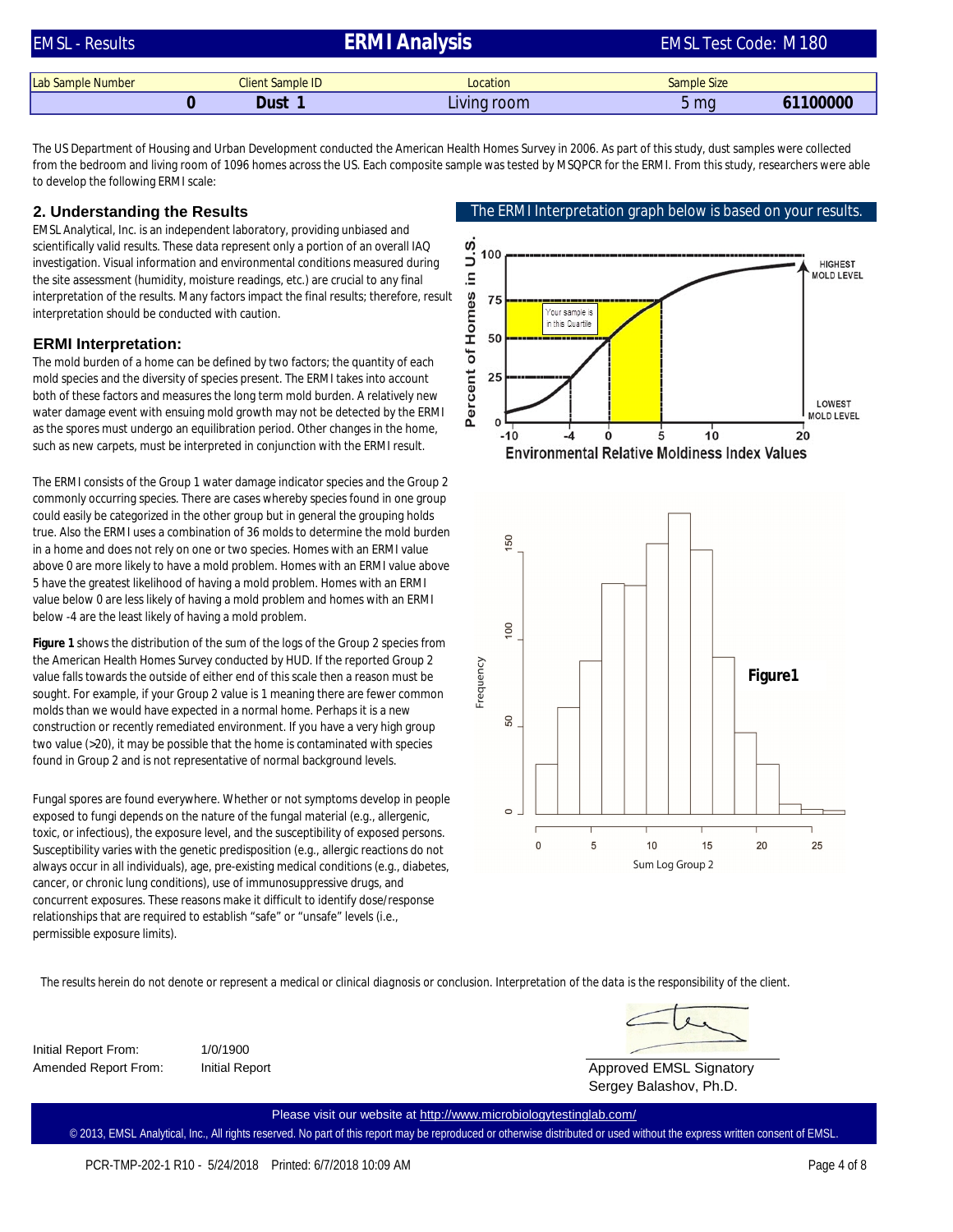| <b>EMSL - Results</b> |  |                         | <b>ERMI Analysis</b> | <b>EMSL Test Code: M180</b> |          |
|-----------------------|--|-------------------------|----------------------|-----------------------------|----------|
|                       |  | <b>Client Sample ID</b> | Location             |                             |          |
| Lab Sample Number     |  |                         |                      | Sample Size                 |          |
|                       |  | Dust 1                  | Living room          | 5 mg                        | 61100000 |

The US Department of Housing and Urban Development conducted the American Health Homes Survey in 2006. As part of this study, dust samples were collected from the bedroom and living room of 1096 homes across the US. Each composite sample was tested by MSQPCR for the ERMI. From this study, researchers were able to develop the following ERMI scale:

#### **2. Understanding the Results**

EMSL Analytical, Inc. is an independent laboratory, providing unbiased and scientifically valid results. These data represent only a portion of an overall IAQ investigation. Visual information and environmental conditions measured during the site assessment (humidity, moisture readings, etc.) are crucial to any final interpretation of the results. Many factors impact the final results; therefore, result interpretation should be conducted with caution.

#### **ERMI Interpretation:**

The mold burden of a home can be defined by two factors; the quantity of each mold species and the diversity of species present. The ERMI takes into account both of these factors and measures the long term mold burden. A relatively new water damage event with ensuing mold growth may not be detected by the ERMI as the spores must undergo an equilibration period. Other changes in the home, such as new carpets, must be interpreted in conjunction with the ERMI result.

The ERMI consists of the Group 1 water damage indicator species and the Group 2 commonly occurring species. There are cases whereby species found in one group could easily be categorized in the other group but in general the grouping holds true. Also the ERMI uses a combination of 36 molds to determine the mold burden in a home and does not rely on one or two species. Homes with an ERMI value above 0 are more likely to have a mold problem. Homes with an ERMI value above 5 have the greatest likelihood of having a mold problem. Homes with an ERMI value below 0 are less likely of having a mold problem and homes with an ERMI below -4 are the least likely of having a mold problem.

**Figure 1** shows the distribution of the sum of the logs of the Group 2 species from the American Health Homes Survey conducted by HUD. If the reported Group 2 value falls towards the outside of either end of this scale then a reason must be sought. For example, if your Group 2 value is 1 meaning there are fewer common molds than we would have expected in a normal home. Perhaps it is a new construction or recently remediated environment. If you have a very high group two value (>20), it may be possible that the home is contaminated with species found in Group 2 and is not representative of normal background levels.

Fungal spores are found everywhere. Whether or not symptoms develop in people exposed to fungi depends on the nature of the fungal material (e.g., allergenic, toxic, or infectious), the exposure level, and the susceptibility of exposed persons. Susceptibility varies with the genetic predisposition (e.g., allergic reactions do not always occur in all individuals), age, pre-existing medical conditions (e.g., diabetes, cancer, or chronic lung conditions), use of immunosuppressive drugs, and concurrent exposures. These reasons make it difficult to identify dose/response relationships that are required to establish "safe" or "unsafe" levels (i.e., permissible exposure limits).







The results herein do not denote or represent a medical or clinical diagnosis or conclusion. Interpretation of the data is the responsibility of the client.

Initial Report From: 1/0/1900 Amended Report From: Initial Report

Approved EMSL Signatory

Sergey Balashov, Ph.D.

© 2013, EMSL Analytical, Inc., All rights reserved. No part of this report may be reproduced or otherwise distributed or used without the express written consent of EMSL. Please visit our website at <http://www.microbiologytestinglab.com/>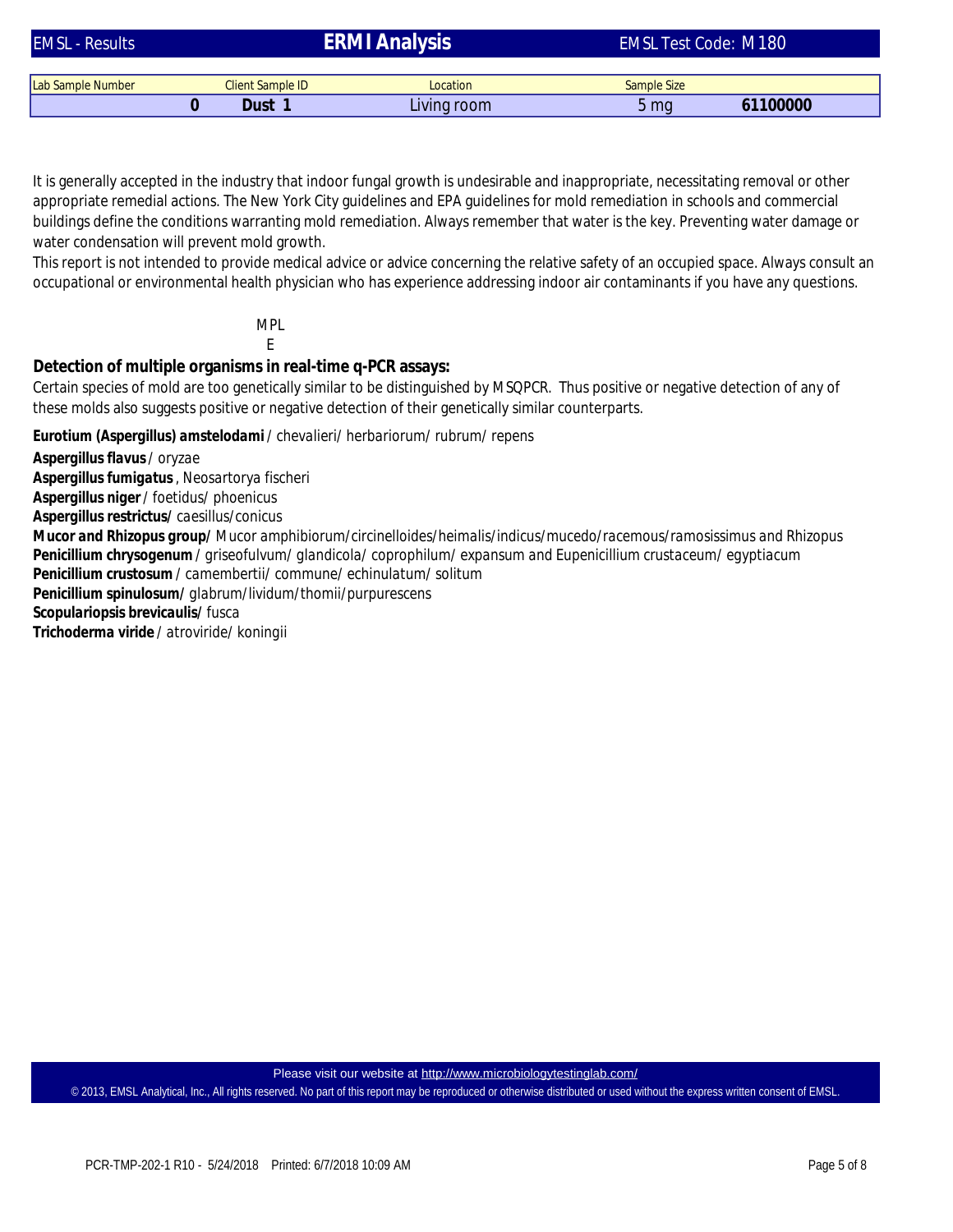| <b>EMSL - Results</b>    |                         | <b>ERMI Analysis</b> | <b>EMSL Test Code: M180</b> |          |  |
|--------------------------|-------------------------|----------------------|-----------------------------|----------|--|
|                          |                         |                      |                             |          |  |
| <b>Lab Sample Number</b> | <b>Client Sample ID</b> | Location             | Sample Size                 |          |  |
|                          | Dust 1                  | Living room          | 5 <sub>ma</sub>             | 61100000 |  |

It is generally accepted in the industry that indoor fungal growth is undesirable and inappropriate, necessitating removal or other appropriate remedial actions. The New York City guidelines and EPA guidelines for mold remediation in schools and commercial buildings define the conditions warranting mold remediation. Always remember that water is the key. Preventing water damage or water condensation will prevent mold growth.

This report is not intended to provide medical advice or advice concerning the relative safety of an occupied space. Always consult an occupational or environmental health physician who has experience addressing indoor air contaminants if you have any questions.

> MPL E

**Detection of multiple organisms in real-time q-PCR assays:**

Certain species of mold are too genetically similar to be distinguished by MSQPCR. Thus positive or negative detection of any of these molds also suggests positive or negative detection of their genetically similar counterparts.

*Eurotium (Aspergillus) amstelodami/ chevalieri/ herbariorum/ rubrum/ repens*

*Aspergillus flavus/ oryzae*

*Aspergillus fumigatus, Neosartorya fischeri*

*Aspergillus niger/ foetidus/ phoenicus*

*Aspergillus restrictus/ caesillus/conicus*

*Penicillium chrysogenum / griseofulvum/ glandicola/ coprophilum/ expansum and Eupenicillium crustaceum/ egyptiacum Penicillium crustosum / camembertii/ commune/ echinulatum/ solitum Mucor and Rhizopus group/ Mucor amphibiorum/circinelloides/heimalis/indicus/mucedo/racemous/ramosissimus and Rhizopus* 

*Penicillium spinulosum/ glabrum/lividum/thomii/purpurescens*

*Scopulariopsis brevicaulis/ fusca*

*Trichoderma viride / atroviride/ koningii*

Please visit our website at <http://www.microbiologytestinglab.com/>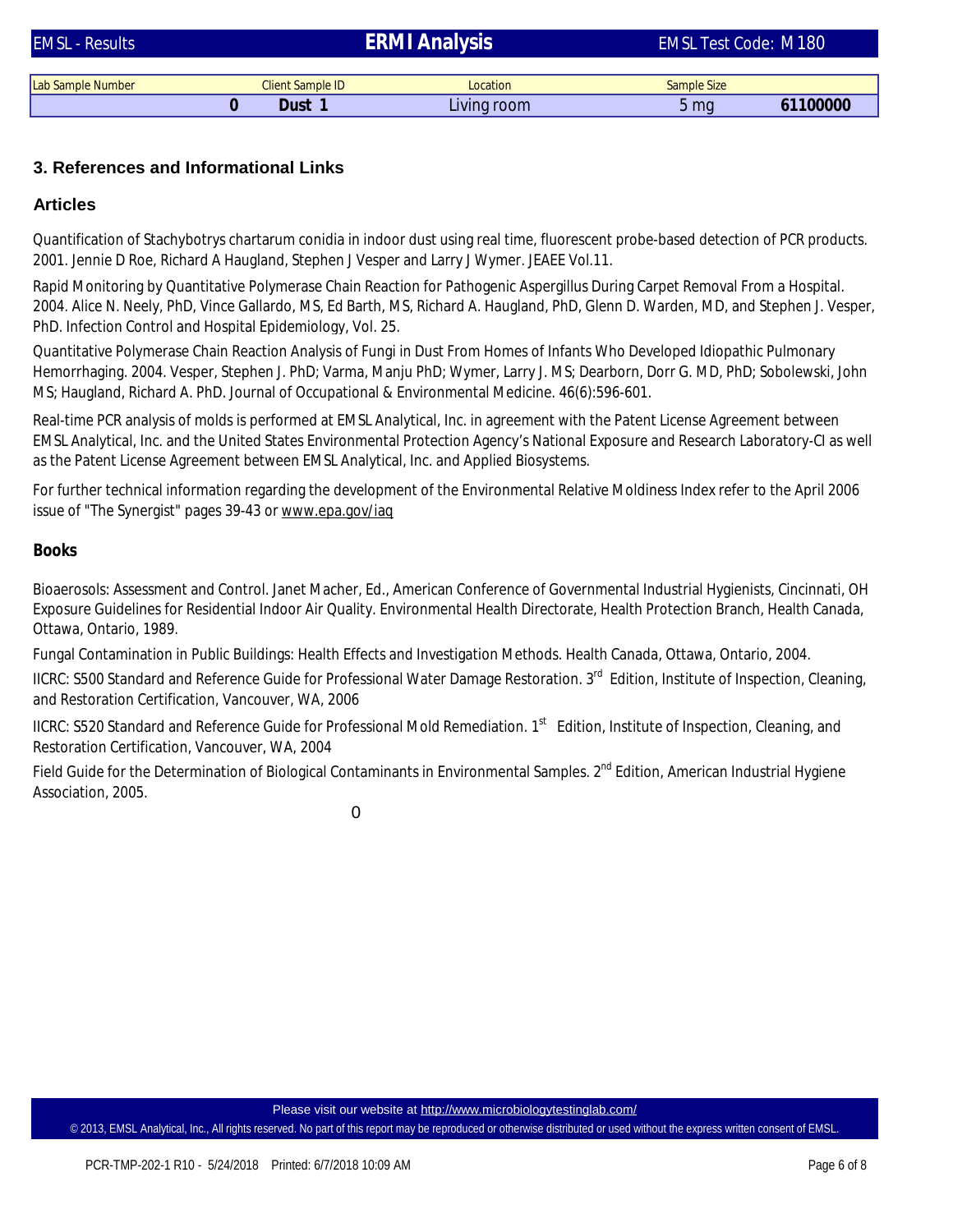| <b>EMSL - Results</b> |  |                         | ERMI Analysis | <b>EMSL Test Code: M180</b> |          |  |
|-----------------------|--|-------------------------|---------------|-----------------------------|----------|--|
|                       |  |                         |               |                             |          |  |
| Lab Sample Number     |  | <b>Client Sample ID</b> | Location      | Sample Size                 |          |  |
|                       |  | Dust                    | Living room   | 5 <sub>mq</sub>             | 61100000 |  |

## **3. References and Informational Links**

### **Articles**

Quantification of Stachybotrys chartarum conidia in indoor dust using real time, fluorescent probe-based detection of PCR products. 2001. Jennie D Roe, Richard A Haugland, Stephen J Vesper and Larry J Wymer. JEAEE Vol.11.

Rapid Monitoring by Quantitative Polymerase Chain Reaction for Pathogenic Aspergillus During Carpet Removal From a Hospital. 2004. Alice N. Neely, PhD, Vince Gallardo, MS, Ed Barth, MS, Richard A. Haugland, PhD, Glenn D. Warden, MD, and Stephen J. Vesper, PhD. Infection Control and Hospital Epidemiology, Vol. 25.

Quantitative Polymerase Chain Reaction Analysis of Fungi in Dust From Homes of Infants Who Developed Idiopathic Pulmonary Hemorrhaging. 2004. Vesper, Stephen J. PhD; Varma, Manju PhD; Wymer, Larry J. MS; Dearborn, Dorr G. MD, PhD; Sobolewski, John MS; Haugland, Richard A. PhD. Journal of Occupational & Environmental Medicine. 46(6):596-601.

Real-time PCR analysis of molds is performed at EMSL Analytical, Inc. in agreement with the Patent License Agreement between EMSL Analytical, Inc. and the United States Environmental Protection Agency's National Exposure and Research Laboratory-CI as well as the Patent License Agreement between EMSL Analytical, Inc. and Applied Biosystems.

For further technical information regarding the development of the Environmental Relative Moldiness Index refer to the April 2006 issue of "The Synergist" pages 39-43 or [www.epa.gov/iaq](http://www.epa.gov/iaq) 

#### **Books**

Bioaerosols: Assessment and Control. Janet Macher, Ed., American Conference of Governmental Industrial Hygienists, Cincinnati, OH Exposure Guidelines for Residential Indoor Air Quality. Environmental Health Directorate, Health Protection Branch, Health Canada, Ottawa, Ontario, 1989.

Fungal Contamination in Public Buildings: Health Effects and Investigation Methods. Health Canada, Ottawa, Ontario, 2004.

IICRC: S500 Standard and Reference Guide for Professional Water Damage Restoration. 3<sup>rd</sup> Edition, Institute of Inspection, Cleaning, and Restoration Certification, Vancouver, WA, 2006

IICRC: S520 Standard and Reference Guide for Professional Mold Remediation. 1<sup>st</sup> Edition, Institute of Inspection, Cleaning, and Restoration Certification, Vancouver, WA, 2004

Field Guide for the Determination of Biological Contaminants in Environmental Samples. 2<sup>nd</sup> Edition, American Industrial Hygiene Association, 2005.

 $\Omega$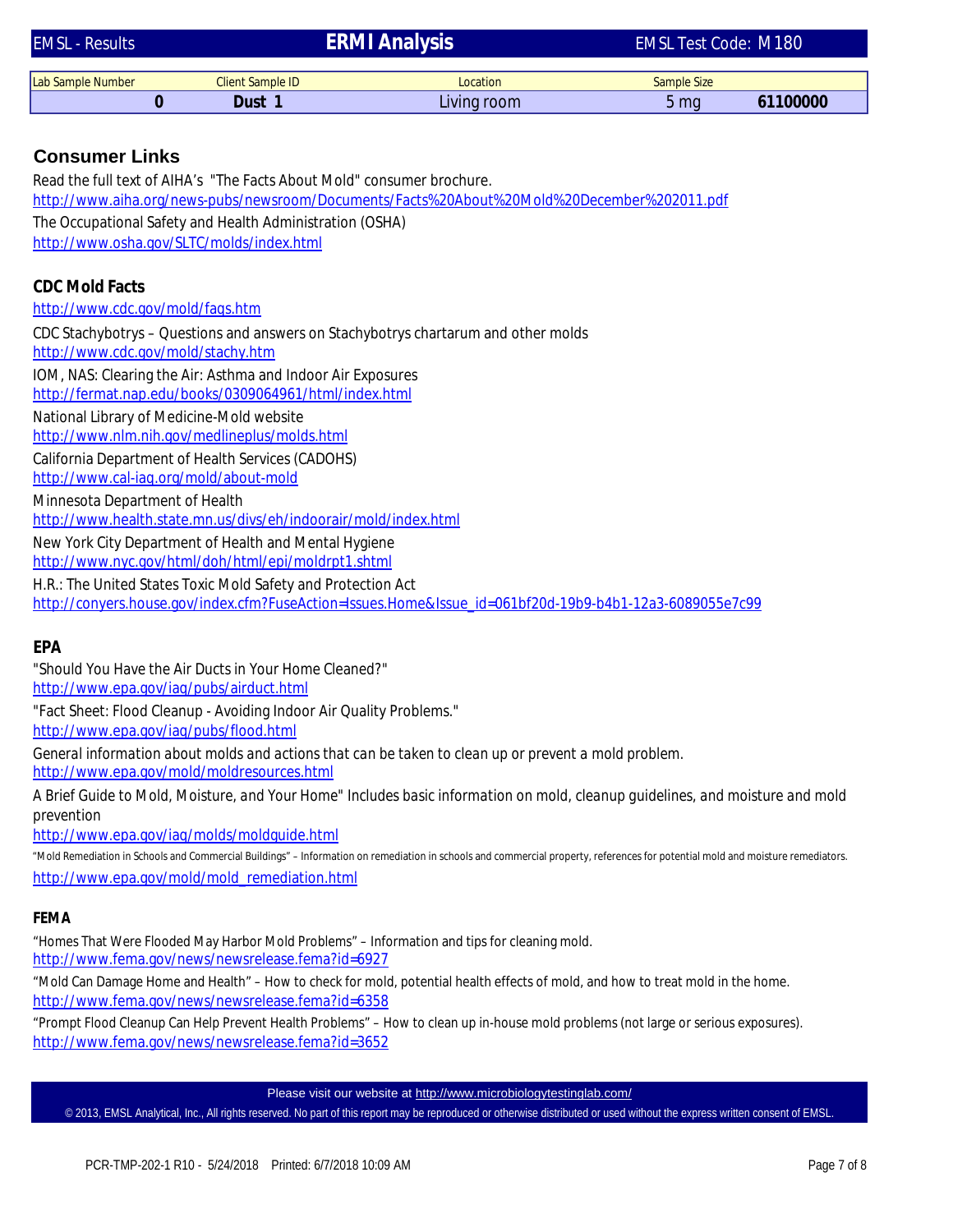| <b>EMSL - Results</b>                     |                                                                        | <b>ERMI Analysis</b>                                                                                    | <b>EMSL Test Code: M180</b> |          |
|-------------------------------------------|------------------------------------------------------------------------|---------------------------------------------------------------------------------------------------------|-----------------------------|----------|
| Lab Sample Number                         | <b>Client Sample ID</b>                                                | Location                                                                                                | <b>Sample Size</b>          |          |
| $\mathbf{0}$                              | Dust 1                                                                 | Living room                                                                                             | 5 <sub>mg</sub>             | 61100000 |
|                                           |                                                                        |                                                                                                         |                             |          |
| <b>Consumer Links</b>                     |                                                                        |                                                                                                         |                             |          |
|                                           | Read the full text of AIHA's "The Facts About Mold" consumer brochure. | http://www.aiha.org/news-pubs/newsroom/Documents/Facts%20About%20Mold%20December%202011.pdf             |                             |          |
|                                           | The Occupational Safety and Health Administration (OSHA)               |                                                                                                         |                             |          |
|                                           | http://www.osha.gov/SLTC/molds/index.html                              |                                                                                                         |                             |          |
|                                           |                                                                        |                                                                                                         |                             |          |
| <b>CDC Mold Facts</b>                     |                                                                        |                                                                                                         |                             |          |
| http://www.cdc.gov/mold/fags.htm          |                                                                        |                                                                                                         |                             |          |
|                                           |                                                                        | CDC Stachybotrys – Questions and answers on Stachybotrys chartarum and other molds                      |                             |          |
| http://www.cdc.gov/mold/stachy.htm        |                                                                        |                                                                                                         |                             |          |
|                                           | IOM, NAS: Clearing the Air: Asthma and Indoor Air Exposures            |                                                                                                         |                             |          |
|                                           | http://fermat.nap.edu/books/0309064961/html/index.html                 |                                                                                                         |                             |          |
| National Library of Medicine-Mold website |                                                                        |                                                                                                         |                             |          |
|                                           | http://www.nlm.nih.gov/medlineplus/molds.html                          |                                                                                                         |                             |          |
| http://www.cal-iaq.org/mold/about-mold    | California Department of Health Services (CADOHS)                      |                                                                                                         |                             |          |
| Minnesota Department of Health            |                                                                        |                                                                                                         |                             |          |
|                                           | http://www.health.state.mn.us/divs/eh/indoorair/mold/index.html        |                                                                                                         |                             |          |
|                                           | New York City Department of Health and Mental Hygiene                  |                                                                                                         |                             |          |
|                                           | http://www.nyc.gov/html/doh/html/epi/moldrpt1.shtml                    |                                                                                                         |                             |          |
|                                           | H.R.: The United States Toxic Mold Safety and Protection Act           |                                                                                                         |                             |          |
|                                           |                                                                        | http://conyers.house.gov/index.cfm?FuseAction=Issues.Home&Issue_id=061bf20d-19b9-b4b1-12a3-6089055e7c99 |                             |          |
|                                           |                                                                        |                                                                                                         |                             |          |
| EPA                                       |                                                                        |                                                                                                         |                             |          |
| http://www.epa.gov/iag/pubs/airduct.html  | "Should You Have the Air Ducts in Your Home Cleaned?"                  |                                                                                                         |                             |          |
|                                           |                                                                        |                                                                                                         |                             |          |

"Fact Sheet: Flood Cleanup - Avoiding Indoor Air Quality Problems."

<http://www.epa.gov/iaq/pubs/flood.html>

<http://www.epa.gov/mold/moldresources.html> *General information about molds and actions that can be taken to clean up or prevent a mold problem.*

*A Brief Guide to Mold, Moisture, and Your Home" Includes basic information on mold, cleanup guidelines, and moisture and mold prevention*

<http://www.epa.gov/iaq/molds/moldguide.html>

[http://www.epa.gov/mold/mold\\_remediation.html](http://www.epa.gov/mold/mold_remediation.html) "Mold Remediation in Schools and Commercial Buildings" – Information on remediation in schools and commercial property, references for potential mold and moisture remediators.

#### **FEMA**

<http://www.fema.gov/news/newsrelease.fema?id=6927> "Homes That Were Flooded May Harbor Mold Problems" – Information and tips for cleaning mold.

<http://www.fema.gov/news/newsrelease.fema?id=6358> "Mold Can Damage Home and Health" – How to check for mold, potential health effects of mold, and how to treat mold in the home.

"Prompt Flood Cleanup Can Help Prevent Health Problems" – How to clean up in-house mold problems (not large or serious exposures). <http://www.fema.gov/news/newsrelease.fema?id=3652>

Please visit our website at<http://www.microbiologytestinglab.com/>